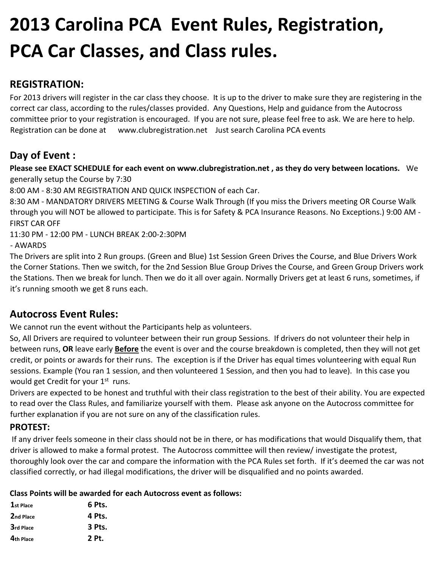# **2013 Carolina PCA Event Rules, Registration, PCA Car Classes, and Class rules.**

# **REGISTRATION:**

For 2013 drivers will register in the car class they choose. It is up to the driver to make sure they are registering in the correct car class, according to the rules/classes provided. Any Questions, Help and guidance from the Autocross committee prior to your registration is encouraged. If you are not sure, please feel free to ask. We are here to help. Registration can be done at www.clubregistration.net Just search Carolina PCA events

# **Day of Event :**

**Please see EXACT SCHEDULE for each event on www.clubregistration.net , as they do very between locations.** We generally setup the Course by 7:30

8:00 AM ‐ 8:30 AM REGISTRATION AND QUICK INSPECTION of each Car.

8:30 AM ‐ MANDATORY DRIVERS MEETING & Course Walk Through (If you miss the Drivers meeting OR Course Walk through you will NOT be allowed to participate. This is for Safety & PCA Insurance Reasons. No Exceptions.) 9:00 AM ‐ FIRST CAR OFF

11:30 PM ‐ 12:00 PM ‐ LUNCH BREAK 2:00‐2:30PM

‐ AWARDS

The Drivers are split into 2 Run groups. (Green and Blue) 1st Session Green Drives the Course, and Blue Drivers Work the Corner Stations. Then we switch, for the 2nd Session Blue Group Drives the Course, and Green Group Drivers work the Stations. Then we break for lunch. Then we do it all over again. Normally Drivers get at least 6 runs, sometimes, if it's running smooth we get 8 runs each.

### **Autocross Event Rules:**

We cannot run the event without the Participants help as volunteers.

So, All Drivers are required to volunteer between their run group Sessions. If drivers do not volunteer their help in between runs, **OR** leave early **Before** the event is over and the course breakdown is completed, then they will not get credit, or points or awards for their runs. The exception is if the Driver has equal times volunteering with equal Run sessions. Example (You ran 1 session, and then volunteered 1 Session, and then you had to leave). In this case you would get Credit for your 1<sup>st</sup> runs.

Drivers are expected to be honest and truthful with their class registration to the best of their ability. You are expected to read over the Class Rules, and familiarize yourself with them. Please ask anyone on the Autocross committee for further explanation if you are not sure on any of the classification rules.

### **PROTEST:**

If any driver feels someone in their class should not be in there, or has modifications that would Disqualify them, that driver is allowed to make a formal protest. The Autocross committee will then review/ investigate the protest, thoroughly look over the car and compare the information with the PCA Rules set forth. If it's deemed the car was not classified correctly, or had illegal modifications, the driver will be disqualified and no points awarded.

#### **Class Points will be awarded for each Autocross event as follows:**

| 1st Place | 6 Pts. |
|-----------|--------|
| 2nd Place | 4 Pts. |
| 3rd Place | 3 Pts. |
| 4th Place | 2 Pt.  |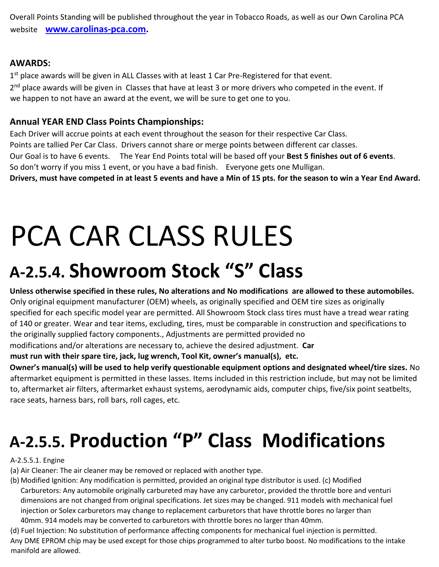Overall Points Standing will be published throughout the year in Tobacco Roads, as well as our Own Carolina PCA website **[www.carolinas](http://www.carolinas-pca.com/)[‐](http://www.carolinas-pca.com/)[pca.com.](http://www.carolinas-pca.com/)** 

### **AWARDS:**

1<sup>st</sup> place awards will be given in ALL Classes with at least 1 Car Pre-Registered for that event. 2<sup>nd</sup> place awards will be given in Classes that have at least 3 or more drivers who competed in the event. If we happen to not have an award at the event, we will be sure to get one to you.

### **Annual YEAR END Class Points Championships:**

Each Driver will accrue points at each event throughout the season for their respective Car Class. Points are tallied Per Car Class. Drivers cannot share or merge points between different car classes. Our Goal is to have 6 events. The Year End Points total will be based off your **Best 5 finishes out of 6 events**. So don't worry if you miss 1 event, or you have a bad finish. Everyone gets one Mulligan. **Drivers, must have competed in at least 5 events and have a Min of 15 pts. for the season to win a Year End Award.**

# PCA CAR CLASS RULES

# **A‐2.5.4. Showroom Stock "S" Class**

**Unless otherwise specified in these rules, No alterations and No modifications are allowed to these automobiles.** Only original equipment manufacturer (OEM) wheels, as originally specified and OEM tire sizes as originally specified for each specific model year are permitted. All Showroom Stock class tires must have a tread wear rating of 140 or greater. Wear and tear items, excluding, tires, must be comparable in construction and specifications to the originally supplied factory components., Adjustments are permitted provided no modifications and/or alterations are necessary to, achieve the desired adjustment. **Car** 

**must run with their spare tire, jack, lug wrench, Tool Kit, owner's manual(s), etc.** 

**Owner's manual(s) will be used to help verify questionable equipment options and designated wheel/tire sizes.** No aftermarket equipment is permitted in these lasses. Items included in this restriction include, but may not be limited to, aftermarket air filters, aftermarket exhaust systems, aerodynamic aids, computer chips, five/six point seatbelts, race seats, harness bars, roll bars, roll cages, etc.

# **A‐2.5.5. Production "P" Class Modifications**

A‐2.5.5.1. Engine

(a) Air Cleaner: The air cleaner may be removed or replaced with another type.

(b) Modified Ignition: Any modification is permitted, provided an original type distributor is used. (c) Modified Carburetors: Any automobile originally carbureted may have any carburetor, provided the throttle bore and venturi dimensions are not changed from original specifications. Jet sizes may be changed. 911 models with mechanical fuel injection or Solex carburetors may change to replacement carburetors that have throttle bores no larger than 40mm. 914 models may be converted to carburetors with throttle bores no larger than 40mm.

(d) Fuel Injection: No substitution of performance affecting components for mechanical fuel injection is permitted. Any DME EPROM chip may be used except for those chips programmed to alter turbo boost. No modifications to the intake manifold are allowed.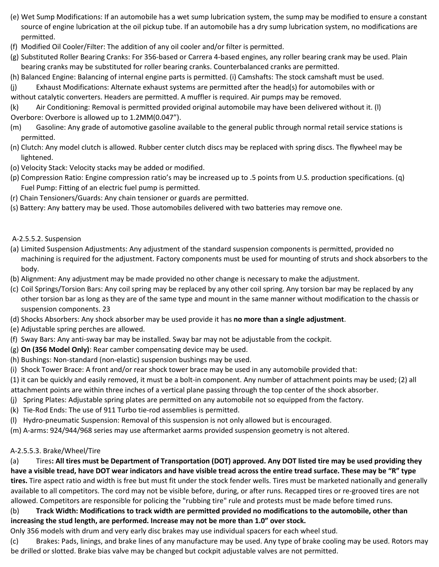- (e) Wet Sump Modifications: If an automobile has a wet sump lubrication system, the sump may be modified to ensure a constant source of engine lubrication at the oil pickup tube. If an automobile has a dry sump lubrication system, no modifications are permitted.
- (f) Modified Oil Cooler/Filter: The addition of any oil cooler and/or filter is permitted.
- (g) Substituted Roller Bearing Cranks: For 356‐based or Carrera 4‐based engines, any roller bearing crank may be used. Plain bearing cranks may be substituted for roller bearing cranks. Counterbalanced cranks are permitted.
- (h) Balanced Engine: Balancing of internal engine parts is permitted. (i) Camshafts: The stock camshaft must be used.
- (j) Exhaust Modifications: Alternate exhaust systems are permitted after the head(s) for automobiles with or
- without catalytic converters. Headers are permitted. A muffler is required. Air pumps may be removed.
- (k) Air Conditioning: Removal is permitted provided original automobile may have been delivered without it. (l)
- Overbore: Overbore is allowed up to 1.2MM(0.047").
- (m) Gasoline: Any grade of automotive gasoline available to the general public through normal retail service stations is permitted.
- (n) Clutch: Any model clutch is allowed. Rubber center clutch discs may be replaced with spring discs. The flywheel may be lightened.
- (o) Velocity Stack: Velocity stacks may be added or modified.
- (p) Compression Ratio: Engine compression ratio's may be increased up to .5 points from U.S. production specifications. (q) Fuel Pump: Fitting of an electric fuel pump is permitted.
- (r) Chain Tensioners/Guards: Any chain tensioner or guards are permitted.
- (s) Battery: Any battery may be used. Those automobiles delivered with two batteries may remove one.

#### A‐2.5.5.2. Suspension

- (a) Limited Suspension Adjustments: Any adjustment of the standard suspension components is permitted, provided no machining is required for the adjustment. Factory components must be used for mounting of struts and shock absorbers to the body.
- (b) Alignment: Any adjustment may be made provided no other change is necessary to make the adjustment.
- (c) Coil Springs/Torsion Bars: Any coil spring may be replaced by any other coil spring. Any torsion bar may be replaced by any other torsion bar as long as they are of the same type and mount in the same manner without modification to the chassis or suspension components. 23
- (d) Shocks Absorbers: Any shock absorber may be used provide it has **no more than a single adjustment**.
- (e) Adjustable spring perches are allowed.
- (f) Sway Bars: Any anti‐sway bar may be installed. Sway bar may not be adjustable from the cockpit.
- (g) **On (356 Model Only)**: Rear camber compensating device may be used.
- (h) Bushings: Non‐standard (non‐elastic) suspension bushings may be used.
- (i) Shock Tower Brace: A front and/or rear shock tower brace may be used in any automobile provided that:
- (1) it can be quickly and easily removed, it must be a bolt‐in component. Any number of attachment points may be used; (2) all attachment points are within three inches of a vertical plane passing through the top center of the shock absorber.
- (j) Spring Plates: Adjustable spring plates are permitted on any automobile not so equipped from the factory.
- (k) Tie‐Rod Ends: The use of 911 Turbo tie‐rod assemblies is permitted.
- (l) Hydro‐pneumatic Suspension: Removal of this suspension is not only allowed but is encouraged.
- (m) A‐arms: 924/944/968 series may use aftermarket aarms provided suspension geometry is not altered.

#### A‐2.5.5.3. Brake/Wheel/Tire

(a) Tires**: All tires must be Department of Transportation (DOT) approved. Any DOT listed tire may be used providing they have a visible tread, have DOT wear indicators and have visible tread across the entire tread surface. These may be "R" type tires.** Tire aspect ratio and width is free but must fit under the stock fender wells. Tires must be marketed nationally and generally available to all competitors. The cord may not be visible before, during, or after runs. Recapped tires or re‐grooved tires are not allowed. Competitors are responsible for policing the "rubbing tire" rule and protests must be made before timed runs.

#### (b) **Track Width: Modifications to track width are permitted provided no modifications to the automobile, other than increasing the stud length, are performed. Increase may not be more than 1.0" over stock.**

Only 356 models with drum and very early disc brakes may use individual spacers for each wheel stud.

(c) Brakes: Pads, linings, and brake lines of any manufacture may be used. Any type of brake cooling may be used. Rotors may be drilled or slotted. Brake bias valve may be changed but cockpit adjustable valves are not permitted.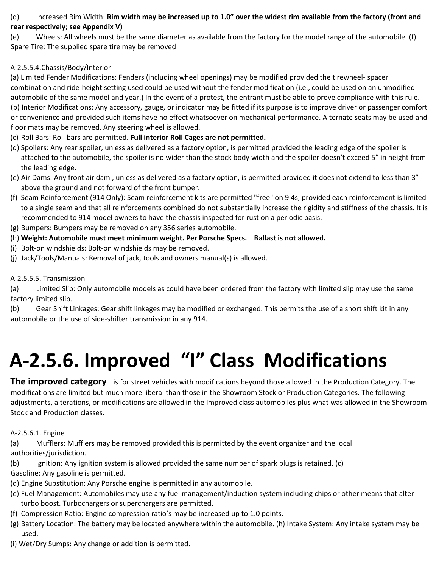#### (d) Increased Rim Width: **Rim width may be increased up to 1.0" over the widest rim available from the factory (front and rear respectively; see Appendix V)**

(e) Wheels: All wheels must be the same diameter as available from the factory for the model range of the automobile. (f) Spare Tire: The supplied spare tire may be removed

#### A‐2.5.5.4.Chassis/Body/Interior

(a) Limited Fender Modifications: Fenders (including wheel openings) may be modified provided the tirewheel‐ spacer combination and ride‐height setting used could be used without the fender modification (i.e., could be used on an unmodified automobile of the same model and year.) In the event of a protest, the entrant must be able to prove compliance with this rule. (b) Interior Modifications: Any accessory, gauge, or indicator may be fitted if its purpose is to improve driver or passenger comfort or convenience and provided such items have no effect whatsoever on mechanical performance. Alternate seats may be used and floor mats may be removed. Any steering wheel is allowed.

- (c) Roll Bars: Roll bars are permitted. **Full interior Roll Cages are not permitted.**
- (d) Spoilers: Any rear spoiler, unless as delivered as a factory option, is permitted provided the leading edge of the spoiler is attached to the automobile, the spoiler is no wider than the stock body width and the spoiler doesn't exceed 5" in height from the leading edge.
- (e) Air Dams: Any front air dam , unless as delivered as a factory option, is permitted provided it does not extend to less than 3" above the ground and not forward of the front bumper.
- (f) Seam Reinforcement (914 Only): Seam reinforcement kits are permitted "free" on 9l4s, provided each reinforcement is limited to a single seam and that all reinforcements combined do not substantially increase the rigidity and stiffness of the chassis. It is recommended to 914 model owners to have the chassis inspected for rust on a periodic basis.
- (g) Bumpers: Bumpers may be removed on any 356 series automobile.
- (h) **Weight: Automobile must meet minimum weight. Per Porsche Specs. Ballast is not allowed.**
- (i) Bolt‐on windshields: Bolt‐on windshields may be removed.
- (j) Jack/Tools/Manuals: Removal of jack, tools and owners manual(s) is allowed.

#### A‐2.5.5.5. Transmission

(a) Limited Slip: Only automobile models as could have been ordered from the factory with limited slip may use the same factory limited slip.

(b) Gear Shift Linkages: Gear shift linkages may be modified or exchanged. This permits the use of a short shift kit in any automobile or the use of side‐shifter transmission in any 914.

# **A‐2.5.6. Improved "I" Class Modifications**

**The improved category** is for street vehicles with modifications beyond those allowed in the Production Category. The modifications are limited but much more liberal than those in the Showroom Stock or Production Categories. The following adjustments, alterations, or modifications are allowed in the Improved class automobiles plus what was allowed in the Showroom Stock and Production classes.

#### A‐2.5.6.1. Engine

(a) Mufflers: Mufflers may be removed provided this is permitted by the event organizer and the local authorities/jurisdiction.

(b) Ignition: Any ignition system is allowed provided the same number of spark plugs is retained. (c) Gasoline: Any gasoline is permitted.

- (d) Engine Substitution: Any Porsche engine is permitted in any automobile.
- (e) Fuel Management: Automobiles may use any fuel management/induction system including chips or other means that alter turbo boost. Turbochargers or superchargers are permitted.
- (f) Compression Ratio: Engine compression ratio's may be increased up to 1.0 points.
- (g) Battery Location: The battery may be located anywhere within the automobile. (h) Intake System: Any intake system may be used.
- (i) Wet/Dry Sumps: Any change or addition is permitted.